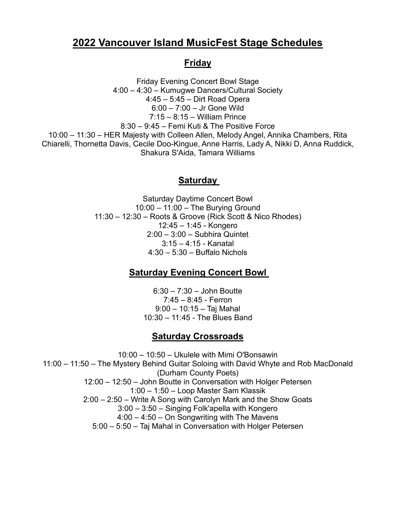# **2022 Vancouver Island MusicFest Stage Schedules**

### **Friday**

Friday Evening Concert Bowl Stage 4:00 – 4:30 – Kumugwe Dancers/Cultural Society 4:45 – 5:45 – Dirt Road Opera 6:00 – 7:00 – Jr Gone Wild 7:15 – 8:15 – William Prince 8:30 – 9:45 – Femi Kuti & The Positive Force 10:00 – 11:30 – HER Majesty with Colleen Allen, Melody Angel, Annika Chambers, Rita Chiarelli, Thornetta Davis, Cecile Doo-Kingue, Anne Harris, Lady A, Nikki D, Anna Ruddick, Shakura S'Aida, Tamara Williams

### **Saturday**

Saturday Daytime Concert Bowl 10:00 – 11:00 – The Burying Ground 11:30 – 12:30 – Roots & Groove (Rick Scott & Nico Rhodes) 12:45 – 1:45 - Kongero 2:00 – 3:00 – Subhira Quintet 3:15 – 4:15 - Kanatal 4:30 – 5:30 – Buffalo Nichols

### **Saturday Evening Concert Bowl**

6:30 – 7:30 – John Boutte 7:45 – 8:45 - Ferron 9:00 – 10:15 – Taj Mahal 10:30 – 11:45 - The Blues Band

### **Saturday Crossroads**

10:00 – 10:50 – Ukulele with Mimi O'Bonsawin 11:00 – 11:50 – The Mystery Behind Guitar Soloing with David Whyte and Rob MacDonald (Durham County Poets) 12:00 – 12:50 – John Boutte in Conversation with Holger Petersen 1:00 – 1:50 – Loop Master Sam Klassik 2:00 – 2:50 – Write A Song with Carolyn Mark and the Show Goats 3:00 – 3:50 – Singing Folk'apella with Kongero 4:00 – 4:50 – On Songwriting with The Mavens 5:00 – 5:50 – Taj Mahal in Conversation with Holger Petersen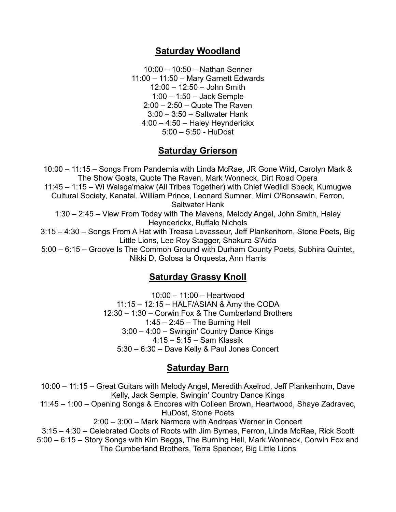#### **Saturday Woodland**

10:00 – 10:50 – Nathan Senner 11:00 – 11:50 – Mary Garnett Edwards 12:00 – 12:50 – John Smith 1:00 – 1:50 – Jack Semple 2:00 – 2:50 – Quote The Raven 3:00 – 3:50 – Saltwater Hank 4:00 – 4:50 – Haley Heynderickx 5:00 – 5:50 - HuDost

#### **Saturday Grierson**

10:00 – 11:15 – Songs From Pandemia with Linda McRae, JR Gone Wild, Carolyn Mark & The Show Goats, Quote The Raven, Mark Wonneck, Dirt Road Opera 11:45 – 1:15 – Wi Walsga'makw (All Tribes Together) with Chief Wedlidi Speck, Kumugwe Cultural Society, Kanatal, William Prince, Leonard Sumner, Mimi O'Bonsawin, Ferron, Saltwater Hank 1:30 – 2:45 – View From Today with The Mavens, Melody Angel, John Smith, Haley Heynderickx, Buffalo Nichols 3:15 – 4:30 – Songs From A Hat with Treasa Levasseur, Jeff Plankenhorn, Stone Poets, Big Little Lions, Lee Roy Stagger, Shakura S'Aida 5:00 – 6:15 – Groove Is The Common Ground with Durham County Poets, Subhira Quintet,

Nikki D, Golosa la Orquesta, Ann Harris

#### **Saturday Grassy Knoll**

10:00 – 11:00 – Heartwood 11:15 – 12:15 – HALF/ASIAN & Amy the CODA 12:30 – 1:30 – Corwin Fox & The Cumberland Brothers 1:45 – 2:45 – The Burning Hell 3:00 – 4:00 – Swingin' Country Dance Kings 4:15 – 5:15 – Sam Klassik 5:30 – 6:30 – Dave Kelly & Paul Jones Concert

#### **Saturday Barn**

10:00 – 11:15 – Great Guitars with Melody Angel, Meredith Axelrod, Jeff Plankenhorn, Dave Kelly, Jack Semple, Swingin' Country Dance Kings 11:45 – 1:00 – Opening Songs & Encores with Colleen Brown, Heartwood, Shaye Zadravec, HuDost, Stone Poets 2:00 – 3:00 – Mark Narmore with Andreas Werner in Concert 3:15 – 4:30 – Celebrated Coots of Roots with Jim Byrnes, Ferron, Linda McRae, Rick Scott 5:00 – 6:15 – Story Songs with Kim Beggs, The Burning Hell, Mark Wonneck, Corwin Fox and The Cumberland Brothers, Terra Spencer, Big Little Lions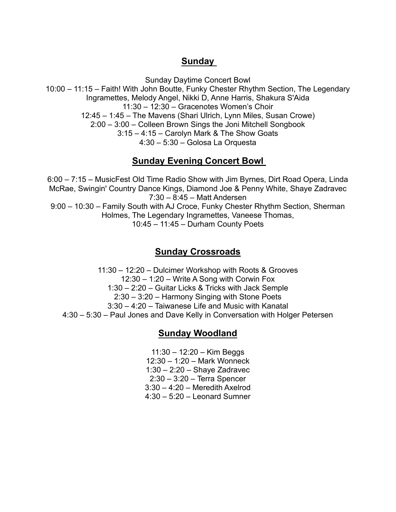### **Sunday**

Sunday Daytime Concert Bowl 10:00 – 11:15 – Faith! With John Boutte, Funky Chester Rhythm Section, The Legendary Ingramettes, Melody Angel, Nikki D, Anne Harris, Shakura S'Aida 11:30 – 12:30 – Gracenotes Women's Choir 12:45 – 1:45 – The Mavens (Shari Ulrich, Lynn Miles, Susan Crowe) 2:00 – 3:00 – Colleen Brown Sings the Joni Mitchell Songbook 3:15 – 4:15 – Carolyn Mark & The Show Goats 4:30 – 5:30 – Golosa La Orquesta

### **Sunday Evening Concert Bowl**

6:00 – 7:15 – MusicFest Old Time Radio Show with Jim Byrnes, Dirt Road Opera, Linda McRae, Swingin' Country Dance Kings, Diamond Joe & Penny White, Shaye Zadravec 7:30 – 8:45 – Matt Andersen 9:00 – 10:30 – Family South with AJ Croce, Funky Chester Rhythm Section, Sherman Holmes, The Legendary Ingramettes, Vaneese Thomas, 10:45 – 11:45 – Durham County Poets

### **Sunday Crossroads**

11:30 – 12:20 – Dulcimer Workshop with Roots & Grooves 12:30 – 1:20 – Write A Song with Corwin Fox 1:30 – 2:20 – Guitar Licks & Tricks with Jack Semple 2:30 – 3:20 – Harmony Singing with Stone Poets 3:30 – 4:20 – Taiwanese Life and Music with Kanatal 4:30 – 5:30 – Paul Jones and Dave Kelly in Conversation with Holger Petersen

### **Sunday Woodland**

11:30 – 12:20 – Kim Beggs 12:30 – 1:20 – Mark Wonneck 1:30 – 2:20 – Shaye Zadravec 2:30 – 3:20 – Terra Spencer 3:30 – 4:20 – Meredith Axelrod 4:30 – 5:20 – Leonard Sumner